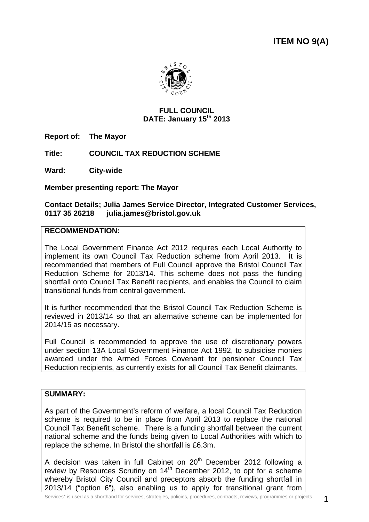**ITEM NO 9(A)** 



#### **FULL COUNCIL DATE: January 15th 2013**

**Report of: The Mayor** 

**Title: COUNCIL TAX REDUCTION SCHEME** 

**Ward: City-wide**

**Member presenting report: The Mayor** 

#### **Contact Details; Julia James Service Director, Integrated Customer Services, 0117 35 26218 julia.james@bristol.gov.uk**

#### **RECOMMENDATION:**

The Local Government Finance Act 2012 requires each Local Authority to implement its own Council Tax Reduction scheme from April 2013. It is recommended that members of Full Council approve the Bristol Council Tax Reduction Scheme for 2013/14. This scheme does not pass the funding shortfall onto Council Tax Benefit recipients, and enables the Council to claim transitional funds from central government.

It is further recommended that the Bristol Council Tax Reduction Scheme is reviewed in 2013/14 so that an alternative scheme can be implemented for 2014/15 as necessary.

Full Council is recommended to approve the use of discretionary powers under section 13A Local Government Finance Act 1992, to subsidise monies awarded under the Armed Forces Covenant for pensioner Council Tax Reduction recipients, as currently exists for all Council Tax Benefit claimants.

### **SUMMARY:**

As part of the Government's reform of welfare, a local Council Tax Reduction scheme is required to be in place from April 2013 to replace the national Council Tax Benefit scheme. There is a funding shortfall between the current national scheme and the funds being given to Local Authorities with which to replace the scheme. In Bristol the shortfall is £6.3m.

A decision was taken in full Cabinet on  $20<sup>th</sup>$  December 2012 following a review by Resources Scrutiny on  $14<sup>th</sup>$  December 2012, to opt for a scheme whereby Bristol City Council and preceptors absorb the funding shortfall in 2013/14 ("option 6"), also enabling us to apply for transitional grant from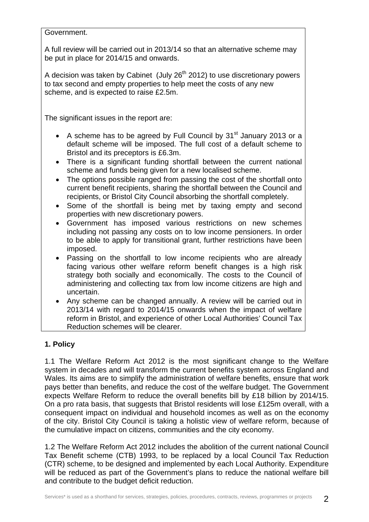Government.

A full review will be carried out in 2013/14 so that an alternative scheme may be put in place for 2014/15 and onwards.

A decision was taken by Cabinet (July  $26<sup>th</sup> 2012$ ) to use discretionary powers to tax second and empty properties to help meet the costs of any new scheme, and is expected to raise £2.5m.

The significant issues in the report are:

- A scheme has to be agreed by Full Council by  $31<sup>st</sup>$  January 2013 or a default scheme will be imposed. The full cost of a default scheme to Bristol and its preceptors is £6.3m.
- There is a significant funding shortfall between the current national scheme and funds being given for a new localised scheme.
- The options possible ranged from passing the cost of the shortfall onto current benefit recipients, sharing the shortfall between the Council and recipients, or Bristol City Council absorbing the shortfall completely.
- Some of the shortfall is being met by taxing empty and second properties with new discretionary powers.
- Government has imposed various restrictions on new schemes including not passing any costs on to low income pensioners. In order to be able to apply for transitional grant, further restrictions have been imposed.
- Passing on the shortfall to low income recipients who are already facing various other welfare reform benefit changes is a high risk strategy both socially and economically. The costs to the Council of administering and collecting tax from low income citizens are high and uncertain.
- Any scheme can be changed annually. A review will be carried out in 2013/14 with regard to 2014/15 onwards when the impact of welfare reform in Bristol, and experience of other Local Authorities' Council Tax Reduction schemes will be clearer.

# **1. Policy**

1.1 The Welfare Reform Act 2012 is the most significant change to the Welfare system in decades and will transform the current benefits system across England and Wales. Its aims are to simplify the administration of welfare benefits, ensure that work pays better than benefits, and reduce the cost of the welfare budget. The Government expects Welfare Reform to reduce the overall benefits bill by £18 billion by 2014/15. On a pro rata basis, that suggests that Bristol residents will lose £125m overall, with a consequent impact on individual and household incomes as well as on the economy of the city. Bristol City Council is taking a holistic view of welfare reform, because of the cumulative impact on citizens, communities and the city economy.

1.2 The Welfare Reform Act 2012 includes the abolition of the current national Council Tax Benefit scheme (CTB) 1993, to be replaced by a local Council Tax Reduction (CTR) scheme, to be designed and implemented by each Local Authority. Expenditure will be reduced as part of the Government's plans to reduce the national welfare bill and contribute to the budget deficit reduction.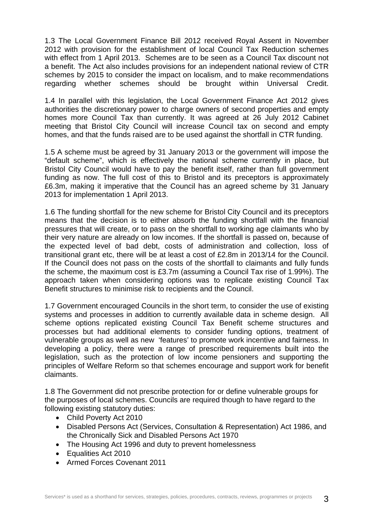1.3 The Local Government Finance Bill 2012 received Royal Assent in November 2012 with provision for the establishment of local Council Tax Reduction schemes with effect from 1 April 2013. Schemes are to be seen as a Council Tax discount not a benefit. The Act also includes provisions for an independent national review of CTR schemes by 2015 to consider the impact on localism, and to make recommendations regarding whether schemes should be brought within Universal Credit.

1.4 In parallel with this legislation, the Local Government Finance Act 2012 gives authorities the discretionary power to charge owners of second properties and empty homes more Council Tax than currently. It was agreed at 26 July 2012 Cabinet meeting that Bristol City Council will increase Council tax on second and empty homes, and that the funds raised are to be used against the shortfall in CTR funding.

1.5 A scheme must be agreed by 31 January 2013 or the government will impose the "default scheme", which is effectively the national scheme currently in place, but Bristol City Council would have to pay the benefit itself, rather than full government funding as now. The full cost of this to Bristol and its preceptors is approximately £6.3m, making it imperative that the Council has an agreed scheme by 31 January 2013 for implementation 1 April 2013.

1.6 The funding shortfall for the new scheme for Bristol City Council and its preceptors means that the decision is to either absorb the funding shortfall with the financial pressures that will create, or to pass on the shortfall to working age claimants who by their very nature are already on low incomes. If the shortfall is passed on, because of the expected level of bad debt, costs of administration and collection, loss of transitional grant etc, there will be at least a cost of £2.8m in 2013/14 for the Council. If the Council does not pass on the costs of the shortfall to claimants and fully funds the scheme, the maximum cost is £3.7m (assuming a Council Tax rise of 1.99%). The approach taken when considering options was to replicate existing Council Tax Benefit structures to minimise risk to recipients and the Council.

1.7 Government encouraged Councils in the short term, to consider the use of existing systems and processes in addition to currently available data in scheme design. All scheme options replicated existing Council Tax Benefit scheme structures and processes but had additional elements to consider funding options, treatment of vulnerable groups as well as new 'features' to promote work incentive and fairness. In developing a policy, there were a range of prescribed requirements built into the legislation, such as the protection of low income pensioners and supporting the principles of Welfare Reform so that schemes encourage and support work for benefit claimants.

1.8 The Government did not prescribe protection for or define vulnerable groups for the purposes of local schemes. Councils are required though to have regard to the following existing statutory duties:

- Child Poverty Act 2010
- Disabled Persons Act (Services, Consultation & Representation) Act 1986, and the Chronically Sick and Disabled Persons Act 1970
- The Housing Act 1996 and duty to prevent homelessness
- Equalities Act 2010
- Armed Forces Covenant 2011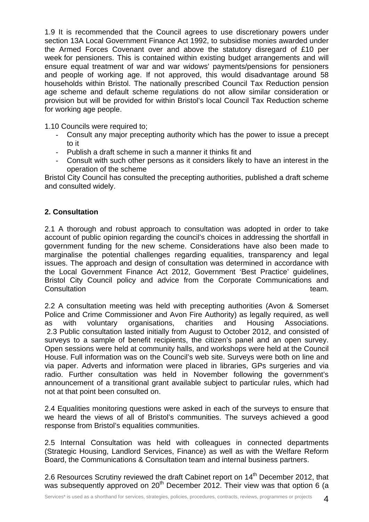1.9 It is recommended that the Council agrees to use discretionary powers under section 13A Local Government Finance Act 1992, to subsidise monies awarded under the Armed Forces Covenant over and above the statutory disregard of £10 per week for pensioners. This is contained within existing budget arrangements and will ensure equal treatment of war and war widows' payments/pensions for pensioners and people of working age. If not approved, this would disadvantage around 58 households within Bristol. The nationally prescribed Council Tax Reduction pension age scheme and default scheme regulations do not allow similar consideration or provision but will be provided for within Bristol's local Council Tax Reduction scheme for working age people.

1.10 Councils were required to;

- Consult any major precepting authority which has the power to issue a precept to it
- Publish a draft scheme in such a manner it thinks fit and
- Consult with such other persons as it considers likely to have an interest in the operation of the scheme

Bristol City Council has consulted the precepting authorities, published a draft scheme and consulted widely.

## **2. Consultation**

2.1 A thorough and robust approach to consultation was adopted in order to take account of public opinion regarding the council's choices in addressing the shortfall in government funding for the new scheme. Considerations have also been made to marginalise the potential challenges regarding equalities, transparency and legal issues. The approach and design of consultation was determined in accordance with the Local Government Finance Act 2012, Government 'Best Practice' guidelines, Bristol City Council policy and advice from the Corporate Communications and **Consultation** team.

2.2 A consultation meeting was held with precepting authorities (Avon & Somerset Police and Crime Commissioner and Avon Fire Authority) as legally required, as well as with voluntary organisations, charities and Housing Associations. 2.3 Public consultation lasted initially from August to October 2012, and consisted of surveys to a sample of benefit recipients, the citizen's panel and an open survey. Open sessions were held at community halls, and workshops were held at the Council House. Full information was on the Council's web site. Surveys were both on line and via paper. Adverts and information were placed in libraries, GPs surgeries and via radio. Further consultation was held in November following the government's announcement of a transitional grant available subject to particular rules, which had not at that point been consulted on.

2.4 Equalities monitoring questions were asked in each of the surveys to ensure that we heard the views of all of Bristol's communities. The surveys achieved a good response from Bristol's equalities communities.

2.5 Internal Consultation was held with colleagues in connected departments (Strategic Housing, Landlord Services, Finance) as well as with the Welfare Reform Board, the Communications & Consultation team and internal business partners.

2.6 Resources Scrutiny reviewed the draft Cabinet report on 14<sup>th</sup> December 2012, that was subsequently approved on  $20<sup>th</sup>$  December 2012. Their view was that option 6 (a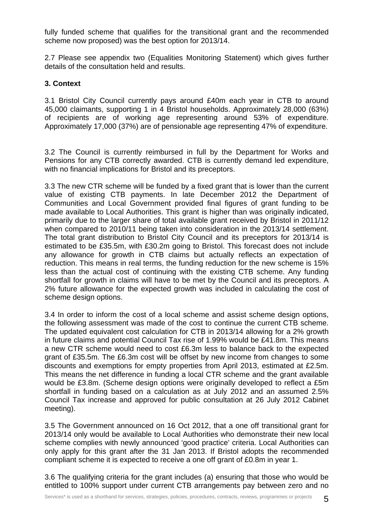fully funded scheme that qualifies for the transitional grant and the recommended scheme now proposed) was the best option for 2013/14.

2.7 Please see appendix two (Equalities Monitoring Statement) which gives further details of the consultation held and results.

#### **3. Context**

3.1 Bristol City Council currently pays around £40m each year in CTB to around 45,000 claimants, supporting 1 in 4 Bristol households. Approximately 28,000 (63%) of recipients are of working age representing around 53% of expenditure. Approximately 17,000 (37%) are of pensionable age representing 47% of expenditure.

3.2 The Council is currently reimbursed in full by the Department for Works and Pensions for any CTB correctly awarded. CTB is currently demand led expenditure, with no financial implications for Bristol and its preceptors.

3.3 The new CTR scheme will be funded by a fixed grant that is lower than the current value of existing CTB payments. In late December 2012 the Department of Communities and Local Government provided final figures of grant funding to be made available to Local Authorities. This grant is higher than was originally indicated, primarily due to the larger share of total available grant received by Bristol in 2011/12 when compared to 2010/11 being taken into consideration in the 2013/14 settlement. The total grant distribution to Bristol City Council and its preceptors for 2013/14 is estimated to be £35.5m, with £30.2m going to Bristol. This forecast does not include any allowance for growth in CTB claims but actually reflects an expectation of reduction. This means in real terms, the funding reduction for the new scheme is 15% less than the actual cost of continuing with the existing CTB scheme. Any funding shortfall for growth in claims will have to be met by the Council and its preceptors. A 2% future allowance for the expected growth was included in calculating the cost of scheme design options.

3.4 In order to inform the cost of a local scheme and assist scheme design options, the following assessment was made of the cost to continue the current CTB scheme. The updated equivalent cost calculation for CTB in 2013/14 allowing for a 2% growth in future claims and potential Council Tax rise of 1.99% would be £41.8m. This means a new CTR scheme would need to cost £6.3m less to balance back to the expected grant of £35.5m. The £6.3m cost will be offset by new income from changes to some discounts and exemptions for empty properties from April 2013, estimated at £2.5m. This means the net difference in funding a local CTR scheme and the grant available would be £3.8m. (Scheme design options were originally developed to reflect a £5m shortfall in funding based on a calculation as at July 2012 and an assumed 2.5% Council Tax increase and approved for public consultation at 26 July 2012 Cabinet meeting).

3.5 The Government announced on 16 Oct 2012, that a one off transitional grant for 2013/14 only would be available to Local Authorities who demonstrate their new local scheme complies with newly announced 'good practice' criteria. Local Authorities can only apply for this grant after the 31 Jan 2013. If Bristol adopts the recommended compliant scheme it is expected to receive a one off grant of £0.8m in year 1.

3.6 The qualifying criteria for the grant includes (a) ensuring that those who would be entitled to 100% support under current CTB arrangements pay between zero and no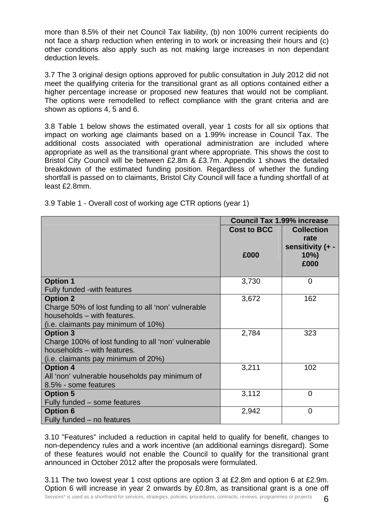more than 8.5% of their net Council Tax liability, (b) non 100% current recipients do not face a sharp reduction when entering in to work or increasing their hours and (c) other conditions also apply such as not making large increases in non dependant deduction levels.

3.7 The 3 original design options approved for public consultation in July 2012 did not meet the qualifying criteria for the transitional grant as all options contained either a higher percentage increase or proposed new features that would not be compliant. The options were remodelled to reflect compliance with the grant criteria and are shown as options 4, 5 and 6.

3.8 Table 1 below shows the estimated overall, year 1 costs for all six options that impact on working age claimants based on a 1.99% increase in Council Tax. The additional costs associated with operational administration are included where appropriate as well as the transitional grant where appropriate. This shows the cost to Bristol City Council will be between £2.8m & £3.7m. Appendix 1 shows the detailed breakdown of the estimated funding position. Regardless of whether the funding shortfall is passed on to claimants, Bristol City Council will face a funding shortfall of at least £2.8mm.

|                                                     | <b>Council Tax 1.99% increase</b> |                                                                 |
|-----------------------------------------------------|-----------------------------------|-----------------------------------------------------------------|
|                                                     | <b>Cost to BCC</b><br>£000        | <b>Collection</b><br>rate<br>sensitivity (+ -<br>$10\%$<br>£000 |
| <b>Option 1</b>                                     | 3,730                             | $\Omega$                                                        |
| Fully funded - with features                        |                                   |                                                                 |
| <b>Option 2</b>                                     | 3,672                             | 162                                                             |
| Charge 50% of lost funding to all 'non' vulnerable  |                                   |                                                                 |
| households - with features.                         |                                   |                                                                 |
| (i.e. claimants pay minimum of 10%)                 |                                   |                                                                 |
| <b>Option 3</b>                                     | 2,784                             | 323                                                             |
| Charge 100% of lost funding to all 'non' vulnerable |                                   |                                                                 |
| households - with features.                         |                                   |                                                                 |
| (i.e. claimants pay minimum of 20%)                 |                                   |                                                                 |
| <b>Option 4</b>                                     | 3,211                             | 102                                                             |
| All 'non' vulnerable households pay minimum of      |                                   |                                                                 |
| 8.5% - some features                                |                                   |                                                                 |
| <b>Option 5</b>                                     | 3,112                             | $\overline{0}$                                                  |
| Fully funded - some features                        |                                   |                                                                 |
| <b>Option 6</b>                                     | 2,942                             | $\overline{0}$                                                  |
| Fully funded – no features                          |                                   |                                                                 |

3.9 Table 1 - Overall cost of working age CTR options (year 1)

3.10 "Features" included a reduction in capital held to qualify for benefit, changes to non-dependency rules and a work incentive (an additional earnings disregard). Some of these features would not enable the Council to qualify for the transitional grant announced in October 2012 after the proposals were formulated.

Services\* is used as a shorthand for services, strategies, policies, procedures, contracts, reviews, programmes or projects  $6$ 3.11 The two lowest year 1 cost options are option 3 at £2.8m and option 6 at £2.9m. Option 6 will increase in year 2 onwards by £0.8m, as transitional grant is a one off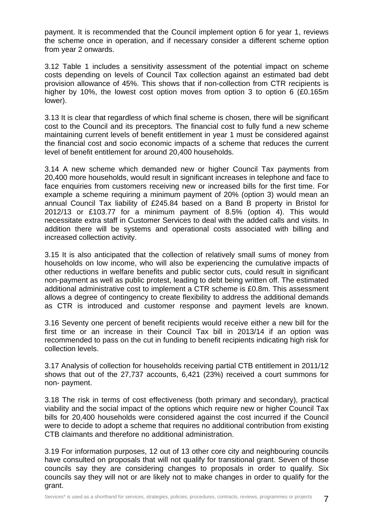payment. It is recommended that the Council implement option 6 for year 1, reviews the scheme once in operation, and if necessary consider a different scheme option from year 2 onwards.

3.12 Table 1 includes a sensitivity assessment of the potential impact on scheme costs depending on levels of Council Tax collection against an estimated bad debt provision allowance of 45%. This shows that if non-collection from CTR recipients is higher by 10%, the lowest cost option moves from option 3 to option 6 (£0.165m lower).

3.13 It is clear that regardless of which final scheme is chosen, there will be significant cost to the Council and its preceptors. The financial cost to fully fund a new scheme maintaining current levels of benefit entitlement in year 1 must be considered against the financial cost and socio economic impacts of a scheme that reduces the current level of benefit entitlement for around 20,400 households.

3.14 A new scheme which demanded new or higher Council Tax payments from 20,400 more households, would result in significant increases in telephone and face to face enquiries from customers receiving new or increased bills for the first time. For example a scheme requiring a minimum payment of 20% (option 3) would mean an annual Council Tax liability of £245.84 based on a Band B property in Bristol for 2012/13 or £103.77 for a minimum payment of 8.5% (option 4). This would necessitate extra staff in Customer Services to deal with the added calls and visits. In addition there will be systems and operational costs associated with billing and increased collection activity.

3.15 It is also anticipated that the collection of relatively small sums of money from households on low income, who will also be experiencing the cumulative impacts of other reductions in welfare benefits and public sector cuts, could result in significant non-payment as well as public protest, leading to debt being written off. The estimated additional administrative cost to implement a CTR scheme is £0.8m. This assessment allows a degree of contingency to create flexibility to address the additional demands as CTR is introduced and customer response and payment levels are known.

3.16 Seventy one percent of benefit recipients would receive either a new bill for the first time or an increase in their Council Tax bill in 2013/14 if an option was recommended to pass on the cut in funding to benefit recipients indicating high risk for collection levels.

3.17 Analysis of collection for households receiving partial CTB entitlement in 2011/12 shows that out of the 27,737 accounts, 6,421 (23%) received a court summons for non- payment.

3.18 The risk in terms of cost effectiveness (both primary and secondary), practical viability and the social impact of the options which require new or higher Council Tax bills for 20,400 households were considered against the cost incurred if the Council were to decide to adopt a scheme that requires no additional contribution from existing CTB claimants and therefore no additional administration.

3.19 For information purposes, 12 out of 13 other core city and neighbouring councils have consulted on proposals that will not qualify for transitional grant. Seven of those councils say they are considering changes to proposals in order to qualify. Six councils say they will not or are likely not to make changes in order to qualify for the grant.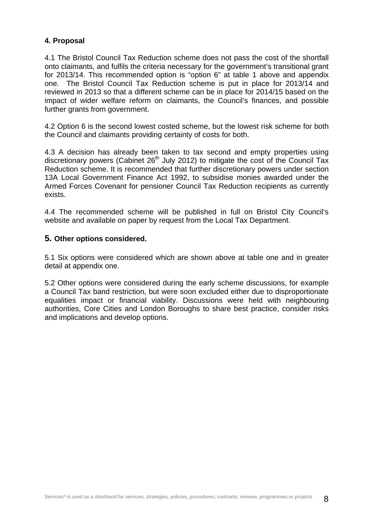### **4. Proposal**

4.1 The Bristol Council Tax Reduction scheme does not pass the cost of the shortfall onto claimants, and fulfils the criteria necessary for the government's transitional grant for 2013/14. This recommended option is "option 6" at table 1 above and appendix one. The Bristol Council Tax Reduction scheme is put in place for 2013/14 and reviewed in 2013 so that a different scheme can be in place for 2014/15 based on the impact of wider welfare reform on claimants, the Council's finances, and possible further grants from government.

4.2 Option 6 is the second lowest costed scheme, but the lowest risk scheme for both the Council and claimants providing certainty of costs for both.

4.3 A decision has already been taken to tax second and empty properties using discretionary powers (Cabinet  $26<sup>th</sup>$  July 2012) to mitigate the cost of the Council Tax Reduction scheme. It is recommended that further discretionary powers under section 13A Local Government Finance Act 1992, to subsidise monies awarded under the Armed Forces Covenant for pensioner Council Tax Reduction recipients as currently exists.

4.4 The recommended scheme will be published in full on Bristol City Council's website and available on paper by request from the Local Tax Department.

### **5. Other options considered.**

5.1 Six options were considered which are shown above at table one and in greater detail at appendix one.

5.2 Other options were considered during the early scheme discussions, for example a Council Tax band restriction, but were soon excluded either due to disproportionate equalities impact or financial viability. Discussions were held with neighbouring authorities, Core Cities and London Boroughs to share best practice, consider risks and implications and develop options.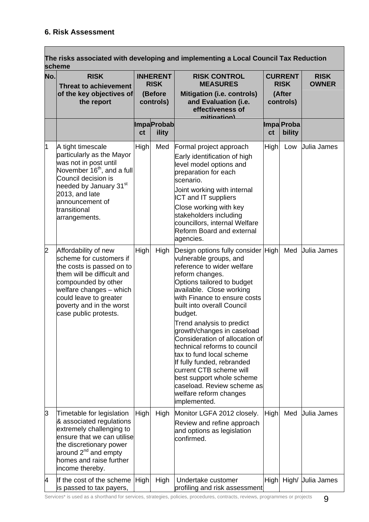Г

|     | scheme                                                                                                                                                                                                                                      |             |                                                        | The risks associated with developing and implementing a Local Council Tax Reduction                                                                                                                                                                                                                                                                                                                                                                                                                                                                                     |             |                                                      |                             |
|-----|---------------------------------------------------------------------------------------------------------------------------------------------------------------------------------------------------------------------------------------------|-------------|--------------------------------------------------------|-------------------------------------------------------------------------------------------------------------------------------------------------------------------------------------------------------------------------------------------------------------------------------------------------------------------------------------------------------------------------------------------------------------------------------------------------------------------------------------------------------------------------------------------------------------------------|-------------|------------------------------------------------------|-----------------------------|
| No. | <b>RISK</b><br><b>Threat to achievement</b><br>of the key objectives of<br>the report                                                                                                                                                       |             | <b>INHERENT</b><br><b>RISK</b><br>(Before<br>controls) | <b>RISK CONTROL</b><br><b>MEASURES</b><br><b>Mitigation (i.e. controls)</b><br>and Evaluation (i.e.<br>effectiveness of<br><u>mitination)</u>                                                                                                                                                                                                                                                                                                                                                                                                                           |             | <b>CURRENT</b><br><b>RISK</b><br>(After<br>controls) | <b>RISK</b><br><b>OWNER</b> |
|     |                                                                                                                                                                                                                                             | ct          | <b>ImpaProbab</b><br>ility                             |                                                                                                                                                                                                                                                                                                                                                                                                                                                                                                                                                                         | ct          | Impa Proba<br>bility                                 |                             |
| 1   | A tight timescale<br>particularly as the Mayor<br>was not in post until<br>November 16 <sup>th</sup> , and a full<br>Council decision is<br>needed by January 31st<br>2013, and late<br>announcement of<br>transitional<br>arrangements.    | <b>High</b> | Med                                                    | Formal project approach<br>Early identification of high<br>level model options and<br>preparation for each<br>scenario.<br>Joint working with internal<br>ICT and IT suppliers<br>Close working with key<br>stakeholders including<br>councillors, internal Welfare<br><b>Reform Board and external</b><br>agencies.                                                                                                                                                                                                                                                    | High        | Low                                                  | <b>Julia James</b>          |
| 2   | Affordability of new<br>scheme for customers if<br>the costs is passed on to<br>them will be difficult and<br>compounded by other<br>welfare changes - which<br>could leave to greater<br>poverty and in the worst<br>case public protests. | High        | High                                                   | Design options fully consider High<br>vulnerable groups, and<br>reference to wider welfare<br>reform changes.<br>Options tailored to budget<br>available. Close working<br>with Finance to ensure costs<br>built into overall Council<br>budget.<br>Trend analysis to predict<br>growth/changes in caseload<br>Consideration of allocation of<br>technical reforms to council<br>tax to fund local scheme<br>If fully funded, rebranded<br>current CTB scheme will<br>best support whole scheme<br>caseload. Review scheme as<br>welfare reform changes<br>implemented. |             | Med                                                  | Julia James                 |
| 3   | Timetable for legislation<br>& associated regulations<br>extremely challenging to<br>ensure that we can utilise<br>the discretionary power<br>around 2 <sup>nd</sup> and empty<br>homes and raise further<br>income thereby.                | High        | High                                                   | Monitor LGFA 2012 closely.<br>Review and refine approach<br>and options as legislation<br>confirmed.                                                                                                                                                                                                                                                                                                                                                                                                                                                                    | High        | Med                                                  | <b>Julia James</b>          |
| 4   | If the cost of the scheme<br>is passed to tax payers,                                                                                                                                                                                       | High        | High                                                   | Undertake customer<br>profiling and risk assessment                                                                                                                                                                                                                                                                                                                                                                                                                                                                                                                     | <b>High</b> |                                                      | High/ Julia James           |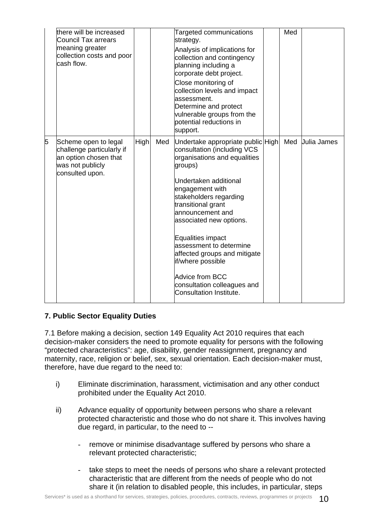|   | there will be increased<br><b>Council Tax arrears</b><br>meaning greater<br>collection costs and poor<br>cash flow. |      |     | Targeted communications<br>strategy.<br>Analysis of implications for<br>collection and contingency<br>planning including a<br>corporate debt project.<br>Close monitoring of<br>collection levels and impact<br>assessment.<br>Determine and protect<br>vulnerable groups from the<br>potential reductions in<br>support.                                                                                                                              | Med |                    |
|---|---------------------------------------------------------------------------------------------------------------------|------|-----|--------------------------------------------------------------------------------------------------------------------------------------------------------------------------------------------------------------------------------------------------------------------------------------------------------------------------------------------------------------------------------------------------------------------------------------------------------|-----|--------------------|
| 5 | Scheme open to legal<br>challenge particularly if<br>an option chosen that<br>was not publicly<br>consulted upon.   | High | Med | Undertake appropriate public High<br>consultation (including VCS<br>organisations and equalities<br>groups)<br>Undertaken additional<br>engagement with<br>stakeholders regarding<br>transitional grant<br>announcement and<br>associated new options.<br><b>Equalities impact</b><br>assessment to determine<br>affected groups and mitigate<br>if/where possible<br><b>Advice from BCC</b><br>consultation colleagues and<br>Consultation Institute. | Med | <b>Julia James</b> |

## **7. Public Sector Equality Duties**

7.1 Before making a decision, section 149 Equality Act 2010 requires that each decision-maker considers the need to promote equality for persons with the following "protected characteristics": age, disability, gender reassignment, pregnancy and maternity, race, religion or belief, sex, sexual orientation. Each decision-maker must, therefore, have due regard to the need to:

- i) Eliminate discrimination, harassment, victimisation and any other conduct prohibited under the Equality Act 2010.
- ii) Advance equality of opportunity between persons who share a relevant protected characteristic and those who do not share it. This involves having due regard, in particular, to the need to -
	- remove or minimise disadvantage suffered by persons who share a relevant protected characteristic;
	- take steps to meet the needs of persons who share a relevant protected characteristic that are different from the needs of people who do not share it (in relation to disabled people, this includes, in particular, steps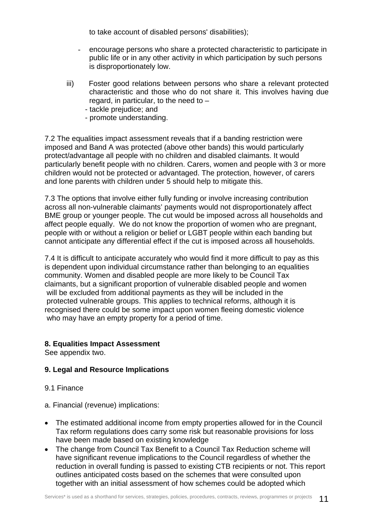to take account of disabled persons' disabilities);

- encourage persons who share a protected characteristic to participate in public life or in any other activity in which participation by such persons is disproportionately low.
- iii) Foster good relations between persons who share a relevant protected characteristic and those who do not share it. This involves having due regard, in particular, to the need to –
	- tackle prejudice; and
	- promote understanding.

7.2 The equalities impact assessment reveals that if a banding restriction were imposed and Band A was protected (above other bands) this would particularly protect/advantage all people with no children and disabled claimants. It would particularly benefit people with no children. Carers, women and people with 3 or more children would not be protected or advantaged. The protection, however, of carers and lone parents with children under 5 should help to mitigate this.

7.3 The options that involve either fully funding or involve increasing contribution across all non-vulnerable claimants' payments would not disproportionately affect BME group or younger people. The cut would be imposed across all households and affect people equally. We do not know the proportion of women who are pregnant, people with or without a religion or belief or LGBT people within each banding but cannot anticipate any differential effect if the cut is imposed across all households.

7.4 It is difficult to anticipate accurately who would find it more difficult to pay as this is dependent upon individual circumstance rather than belonging to an equalities community. Women and disabled people are more likely to be Council Tax claimants, but a significant proportion of vulnerable disabled people and women will be excluded from additional payments as they will be included in the protected vulnerable groups. This applies to technical reforms, although it is recognised there could be some impact upon women fleeing domestic violence who may have an empty property for a period of time.

#### **8. Equalities Impact Assessment**

See appendix two.

#### **9. Legal and Resource Implications**

#### 9.1 Finance

- a. Financial (revenue) implications:
- The estimated additional income from empty properties allowed for in the Council Tax reform regulations does carry some risk but reasonable provisions for loss have been made based on existing knowledge
- The change from Council Tax Benefit to a Council Tax Reduction scheme will have significant revenue implications to the Council regardless of whether the reduction in overall funding is passed to existing CTB recipients or not. This report outlines anticipated costs based on the schemes that were consulted upon together with an initial assessment of how schemes could be adopted which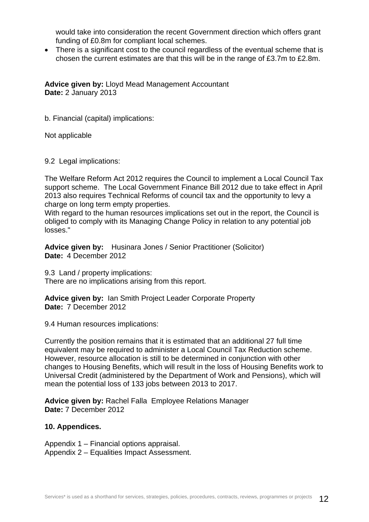would take into consideration the recent Government direction which offers grant funding of £0.8m for compliant local schemes.

• There is a significant cost to the council regardless of the eventual scheme that is chosen the current estimates are that this will be in the range of £3.7m to £2.8m.

**Advice given by:** Lloyd Mead Management Accountant **Date:** 2 January 2013

b. Financial (capital) implications:

Not applicable

9.2 Legal implications:

The Welfare Reform Act 2012 requires the Council to implement a Local Council Tax support scheme. The Local Government Finance Bill 2012 due to take effect in April 2013 also requires Technical Reforms of council tax and the opportunity to levy a charge on long term empty properties.

With regard to the human resources implications set out in the report, the Council is obliged to comply with its Managing Change Policy in relation to any potential job losses."

**Advice given by:** Husinara Jones / Senior Practitioner (Solicitor) **Date:** 4 December 2012

9.3 Land / property implications: There are no implications arising from this report.

**Advice given by:** Ian Smith Project Leader Corporate Property **Date:** 7 December 2012

9.4 Human resources implications:

Currently the position remains that it is estimated that an additional 27 full time equivalent may be required to administer a Local Council Tax Reduction scheme. However, resource allocation is still to be determined in conjunction with other changes to Housing Benefits, which will result in the loss of Housing Benefits work to Universal Credit (administered by the Department of Work and Pensions), which will mean the potential loss of 133 jobs between 2013 to 2017.

**Advice given by:** Rachel Falla Employee Relations Manager **Date:** 7 December 2012

#### **10. Appendices.**

Appendix 1 – Financial options appraisal. Appendix 2 – Equalities Impact Assessment.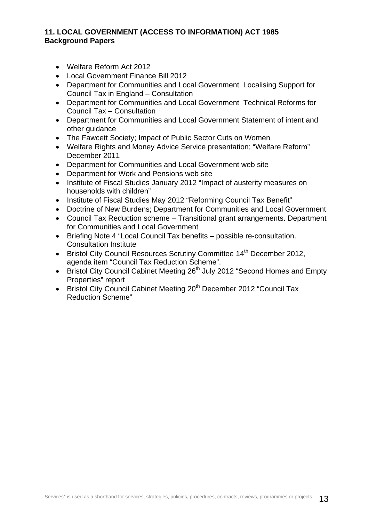### **11. LOCAL GOVERNMENT (ACCESS TO INFORMATION) ACT 1985 Background Papers**

- Welfare Reform Act 2012
- Local Government Finance Bill 2012
- Department for Communities and Local Government Localising Support for Council Tax in England – Consultation
- Department for Communities and Local Government Technical Reforms for Council Tax – Consultation
- Department for Communities and Local Government Statement of intent and other guidance
- The Fawcett Society; Impact of Public Sector Cuts on Women
- Welfare Rights and Money Advice Service presentation; "Welfare Reform" December 2011
- Department for Communities and Local Government web site
- Department for Work and Pensions web site
- Institute of Fiscal Studies January 2012 "Impact of austerity measures on households with children"
- Institute of Fiscal Studies May 2012 "Reforming Council Tax Benefit"
- Doctrine of New Burdens; Department for Communities and Local Government
- Council Tax Reduction scheme Transitional grant arrangements. Department for Communities and Local Government
- Briefing Note 4 "Local Council Tax benefits possible re-consultation. Consultation Institute
- Bristol City Council Resources Scrutiny Committee 14<sup>th</sup> December 2012, agenda item "Council Tax Reduction Scheme".
- Bristol City Council Cabinet Meeting 26<sup>th</sup> July 2012 "Second Homes and Empty Properties" report
- Bristol City Council Cabinet Meeting 20<sup>th</sup> December 2012 "Council Tax Reduction Scheme"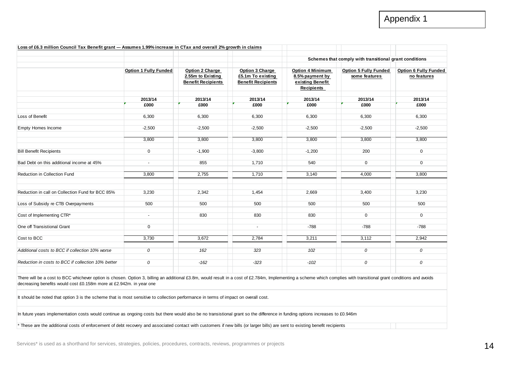|                                                    |                              |                                                                   |                                                                   |                                                                                     | Schemes that comply with transitional grant conditions |                                             |
|----------------------------------------------------|------------------------------|-------------------------------------------------------------------|-------------------------------------------------------------------|-------------------------------------------------------------------------------------|--------------------------------------------------------|---------------------------------------------|
|                                                    | <b>Option 1 Fully Funded</b> | Option 2 Charge<br>2.55m to Existing<br><b>Benefit Recipients</b> | Option 3 Charge<br>£5.1m To existing<br><b>Benefit Recipients</b> | <b>Option 4 Minimum</b><br>8.5% payment by<br>existing Benefit<br><b>Recipients</b> | Option 5 Fully Funded<br>some features                 | <b>Option 6 Fully Funded</b><br>no features |
|                                                    | 2013/14                      | 2013/14                                                           | 2013/14                                                           | 2013/14                                                                             | 2013/14                                                | 2013/14                                     |
|                                                    | £000                         | £000                                                              | £000                                                              | £000                                                                                | £000                                                   | £000                                        |
| Loss of Benefit                                    | 6,300                        | 6,300                                                             | 6,300                                                             | 6,300                                                                               | 6,300                                                  | 6,300                                       |
| <b>Empty Homes Income</b>                          | $-2,500$                     | $-2,500$                                                          | $-2,500$                                                          | $-2,500$                                                                            | $-2,500$                                               | $-2,500$                                    |
|                                                    | 3,800                        | 3,800                                                             | 3,800                                                             | 3,800                                                                               | 3,800                                                  | 3,800                                       |
| <b>Bill Benefit Recipients</b>                     | $\mathbf 0$                  | $-1,900$                                                          | $-3,800$                                                          | $-1,200$                                                                            | 200                                                    | $\mathbf 0$                                 |
| Bad Debt on this additional income at 45%          | $\overline{\phantom{a}}$     | 855                                                               | 1,710                                                             | 540                                                                                 | $\overline{0}$                                         | $\mathbf 0$                                 |
| Reduction in Collection Fund                       | 3,800                        | 2,755                                                             | 1,710                                                             | 3,140                                                                               | 4,000                                                  | 3,800                                       |
| Reduction in call on Collection Fund for BCC 85%   | 3,230                        | 2,342                                                             | 1,454                                                             | 2,669                                                                               | 3,400                                                  | 3,230                                       |
| Loss of Subsidy re CTB Overpayments                | 500                          | 500                                                               | 500                                                               | 500                                                                                 | 500                                                    | 500                                         |
| Cost of Implementing CTR*                          | $\sim$                       | 830                                                               | 830                                                               | 830                                                                                 | $\mathbf 0$                                            | $\mathbf 0$                                 |
| One off Transistional Grant                        | $\mathbf 0$                  |                                                                   | $\sim$                                                            | $-788$                                                                              | $-788$                                                 | $-788$                                      |
| Cost to BCC                                        | 3,730                        | 3,672                                                             | 2,784                                                             | 3,211                                                                               | 3,112                                                  | 2,942                                       |
| Additional costs to BCC if collection 10% worse    | 0                            | 162                                                               | 323                                                               | 102                                                                                 | 0                                                      | 0                                           |
| Reduction in costs to BCC if collection 10% better | 0                            | $-162$                                                            | $-323$                                                            | $-102$                                                                              | 0                                                      | 0                                           |

It should be noted that option 3 is the scheme that is most sensitive to collection performance in terms of impact on overall cost.

In future years implementation costs would continue as ongoing costs but there would also be no transistional grant so the difference in funding options increases to £0.946m

\* These are the additional costs of enforcement of debt recovery and associated contact with customers if new bills (or larger bills) are sent to existing benefit recipients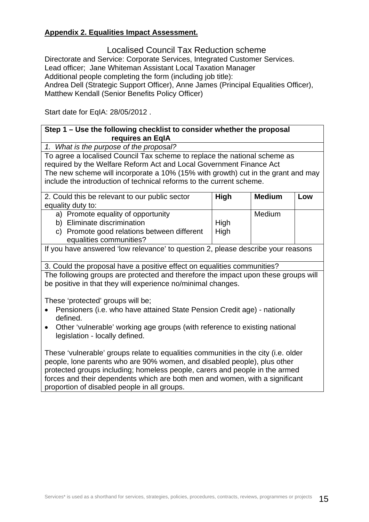## **Appendix 2. Equalities Impact Assessment.**

Localised Council Tax Reduction scheme Directorate and Service: Corporate Services, Integrated Customer Services. Lead officer; Jane Whiteman Assistant Local Taxation Manager Additional people completing the form (including job title): Andrea Dell (Strategic Support Officer), Anne James (Principal Equalities Officer), Matthew Kendall (Senior Benefits Policy Officer)

Start date for EqIA: 28/05/2012 .

## **Step 1 – Use the following checklist to consider whether the proposal requires an EqIA**

*1. What is the purpose of the proposal?* 

To agree a localised Council Tax scheme to replace the national scheme as required by the Welfare Reform Act and Local Government Finance Act The new scheme will incorporate a 10% (15% with growth) cut in the grant and may include the introduction of technical reforms to the current scheme.

| 2. Could this be relevant to our public sector<br>equality duty to:                                                                         | High         | <b>Medium</b> | Low |
|---------------------------------------------------------------------------------------------------------------------------------------------|--------------|---------------|-----|
| a) Promote equality of opportunity<br>b) Eliminate discrimination<br>c) Promote good relations between different<br>equalities communities? | High<br>High | Medium        |     |

If you have answered 'low relevance' to question 2, please describe your reasons

3. Could the proposal have a positive effect on equalities communities?

The following groups are protected and therefore the impact upon these groups will be positive in that they will experience no/minimal changes.

These 'protected' groups will be;

- Pensioners (i.e. who have attained State Pension Credit age) nationally defined.
- Other 'vulnerable' working age groups (with reference to existing national legislation - locally defined.

These 'vulnerable' groups relate to equalities communities in the city (i.e. older people, lone parents who are 90% women, and disabled people), plus other protected groups including; homeless people, carers and people in the armed forces and their dependents which are both men and women, with a significant proportion of disabled people in all groups.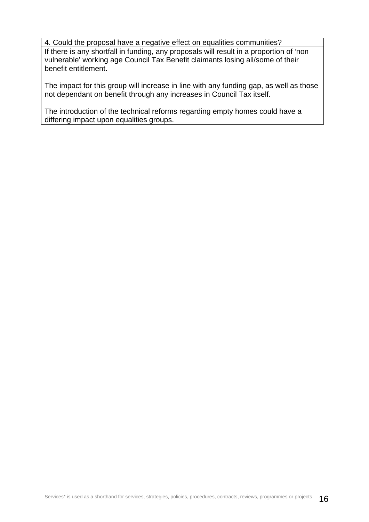4. Could the proposal have a negative effect on equalities communities? If there is any shortfall in funding, any proposals will result in a proportion of 'non

vulnerable' working age Council Tax Benefit claimants losing all/some of their benefit entitlement.

The impact for this group will increase in line with any funding gap, as well as those not dependant on benefit through any increases in Council Tax itself.

The introduction of the technical reforms regarding empty homes could have a differing impact upon equalities groups.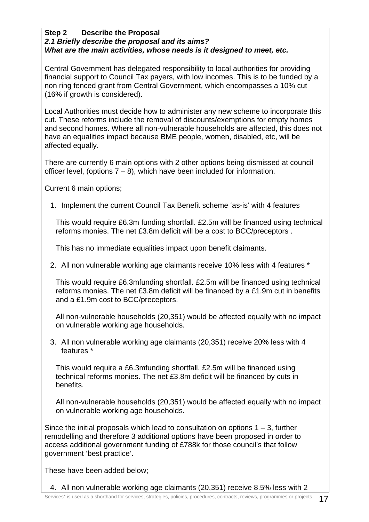## **Step 2 Describe the Proposal**

# *2.1 Briefly describe the proposal and its aims? What are the main activities, whose needs is it designed to meet, etc.*

Central Government has delegated responsibility to local authorities for providing financial support to Council Tax payers, with low incomes. This is to be funded by a non ring fenced grant from Central Government, which encompasses a 10% cut (16% if growth is considered).

Local Authorities must decide how to administer any new scheme to incorporate this cut. These reforms include the removal of discounts/exemptions for empty homes and second homes. Where all non-vulnerable households are affected, this does not have an equalities impact because BME people, women, disabled, etc, will be affected equally.

There are currently 6 main options with 2 other options being dismissed at council officer level, (options  $7 - 8$ ), which have been included for information.

Current 6 main options;

1. Implement the current Council Tax Benefit scheme 'as-is' with 4 features

This would require £6.3m funding shortfall. £2.5m will be financed using technical reforms monies. The net £3.8m deficit will be a cost to BCC/preceptors .

This has no immediate equalities impact upon benefit claimants.

2. All non vulnerable working age claimants receive 10% less with 4 features \*

This would require £6.3mfunding shortfall. £2.5m will be financed using technical reforms monies. The net £3.8m deficit will be financed by a £1.9m cut in benefits and a £1.9m cost to BCC/preceptors.

All non-vulnerable households (20,351) would be affected equally with no impact on vulnerable working age households.

3. All non vulnerable working age claimants (20,351) receive 20% less with 4 features \*

This would require a £6.3mfunding shortfall. £2.5m will be financed using technical reforms monies. The net £3.8m deficit will be financed by cuts in benefits.

All non-vulnerable households (20,351) would be affected equally with no impact on vulnerable working age households.

Since the initial proposals which lead to consultation on options  $1 - 3$ , further remodelling and therefore 3 additional options have been proposed in order to access additional government funding of £788k for those council's that follow government 'best practice'.

These have been added below;

4. All non vulnerable working age claimants (20,351) receive 8.5% less with 2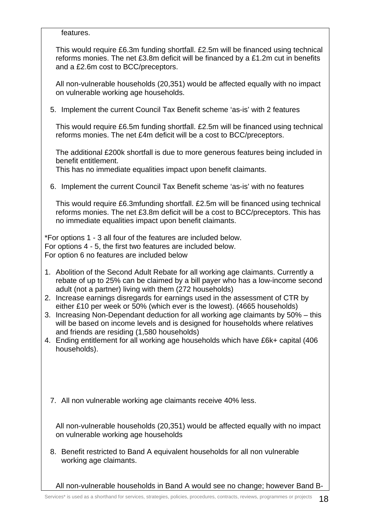features.

This would require £6.3m funding shortfall. £2.5m will be financed using technical reforms monies. The net £3.8m deficit will be financed by a £1.2m cut in benefits and a £2.6m cost to BCC/preceptors.

All non-vulnerable households (20,351) would be affected equally with no impact on vulnerable working age households.

5. Implement the current Council Tax Benefit scheme 'as-is' with 2 features

This would require £6.5m funding shortfall. £2.5m will be financed using technical reforms monies. The net £4m deficit will be a cost to BCC/preceptors.

The additional £200k shortfall is due to more generous features being included in benefit entitlement.

This has no immediate equalities impact upon benefit claimants.

6. Implement the current Council Tax Benefit scheme 'as-is' with no features

This would require £6.3mfunding shortfall. £2.5m will be financed using technical reforms monies. The net £3.8m deficit will be a cost to BCC/preceptors. This has no immediate equalities impact upon benefit claimants.

\*For options 1 - 3 all four of the features are included below. For options 4 - 5, the first two features are included below. For option 6 no features are included below

- 1. Abolition of the Second Adult Rebate for all working age claimants. Currently a rebate of up to 25% can be claimed by a bill payer who has a low-income second adult (not a partner) living with them (272 households)
- 2. Increase earnings disregards for earnings used in the assessment of CTR by either £10 per week or 50% (which ever is the lowest). (4665 households)
- 3. Increasing Non-Dependant deduction for all working age claimants by 50% this will be based on income levels and is designed for households where relatives and friends are residing (1,580 households)
- 4. Ending entitlement for all working age households which have £6k+ capital (406 households).
	- 7. All non vulnerable working age claimants receive 40% less.

All non-vulnerable households (20,351) would be affected equally with no impact on vulnerable working age households

8. Benefit restricted to Band A equivalent households for all non vulnerable working age claimants.

All non-vulnerable households in Band A would see no change; however Band B-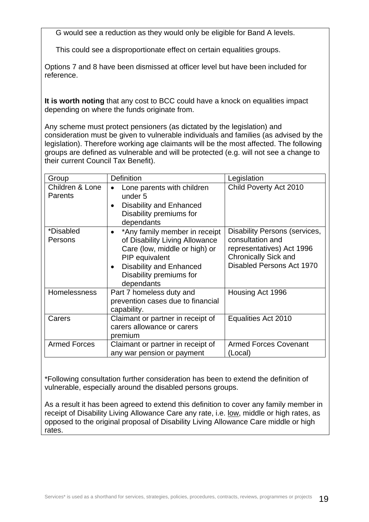G would see a reduction as they would only be eligible for Band A levels.

This could see a disproportionate effect on certain equalities groups.

Options 7 and 8 have been dismissed at officer level but have been included for reference.

**It is worth noting** that any cost to BCC could have a knock on equalities impact depending on where the funds originate from.

Any scheme must protect pensioners (as dictated by the legislation) and consideration must be given to vulnerable individuals and families (as advised by the legislation). Therefore working age claimants will be the most affected. The following groups are defined as vulnerable and will be protected (e.g. will not see a change to their current Council Tax Benefit).

| Group                             | <b>Definition</b>                                                                                                                                                                             | Legislation                                                                                                                                       |
|-----------------------------------|-----------------------------------------------------------------------------------------------------------------------------------------------------------------------------------------------|---------------------------------------------------------------------------------------------------------------------------------------------------|
| Children & Lone<br><b>Parents</b> | Lone parents with children<br>under <sub>5</sub><br><b>Disability and Enhanced</b><br>$\bullet$<br>Disability premiums for<br>dependants                                                      | Child Poverty Act 2010                                                                                                                            |
| *Disabled<br>Persons              | *Any family member in receipt<br>of Disability Living Allowance<br>Care (low, middle or high) or<br>PIP equivalent<br><b>Disability and Enhanced</b><br>Disability premiums for<br>dependants | <b>Disability Persons (services,</b><br>consultation and<br>representatives) Act 1996<br><b>Chronically Sick and</b><br>Disabled Persons Act 1970 |
| <b>Homelessness</b>               | Part 7 homeless duty and<br>prevention cases due to financial<br>capability.                                                                                                                  | Housing Act 1996                                                                                                                                  |
| Carers                            | Claimant or partner in receipt of<br>carers allowance or carers<br>premium                                                                                                                    | Equalities Act 2010                                                                                                                               |
| <b>Armed Forces</b>               | Claimant or partner in receipt of<br>any war pension or payment                                                                                                                               | <b>Armed Forces Covenant</b><br>(Local)                                                                                                           |

\*Following consultation further consideration has been to extend the definition of vulnerable, especially around the disabled persons groups.

As a result it has been agreed to extend this definition to cover any family member in receipt of Disability Living Allowance Care any rate, i.e. low, middle or high rates, as opposed to the original proposal of Disability Living Allowance Care middle or high rates.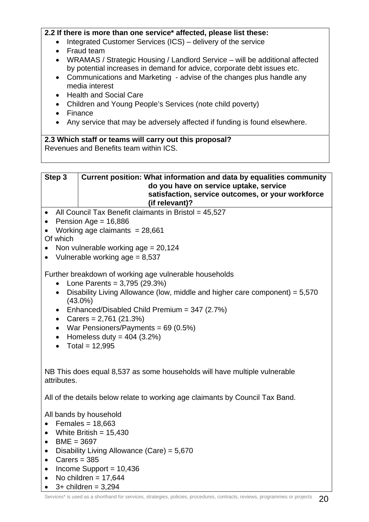### **2.2 If there is more than one service\* affected, please list these:**

- Integrated Customer Services (ICS) delivery of the service
- Fraud team
- WRAMAS / Strategic Housing / Landlord Service will be additional affected by potential increases in demand for advice, corporate debt issues etc.
- Communications and Marketing advise of the changes plus handle any media interest
- Health and Social Care
- Children and Young People's Services (note child poverty)
- Finance
- Any service that may be adversely affected if funding is found elsewhere.

**2.3 Which staff or teams will carry out this proposal?**  Revenues and Benefits team within ICS.



- All Council Tax Benefit claimants in Bristol =  $45,527$
- Pension Age =  $16,886$
- Working age claimants  $= 28,661$

Of which

- Non vulnerable working  $age = 20.124$
- Vulnerable working age  $= 8,537$

Further breakdown of working age vulnerable households

- Lone Parents =  $3,795$  (29.3%)
- Disability Living Allowance (low, middle and higher care component) =  $5.570$ (43.0%)
- Enhanced/Disabled Child Premium = 347 (2.7%)
- Carers =  $2,761$  (21.3%)
- War Pensioners/Payments =  $69(0.5%)$
- Homeless duty =  $404$  (3.2%)
- Total =  $12,995$

NB This does equal 8,537 as some households will have multiple vulnerable attributes.

All of the details below relate to working age claimants by Council Tax Band.

All bands by household

- Females =  $18,663$
- White British  $= 15.430$
- $\bullet$  BME = 3697
- Disability Living Allowance (Care) = 5,670
- Carers  $= 385$
- $\bullet$  Income Support = 10,436
- No children =  $17,644$
- $\bullet$  3+ children = 3,294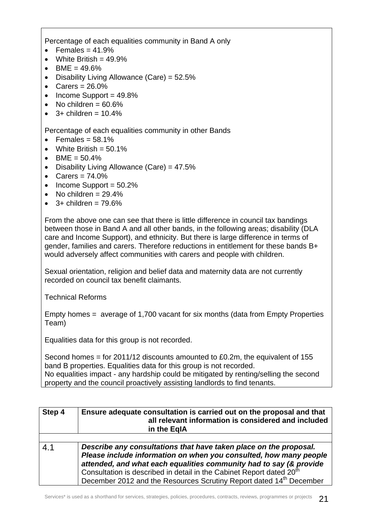Percentage of each equalities community in Band A only

- Females =  $41.9\%$
- White British  $= 49.9\%$
- BME =  $49.6\%$
- Disability Living Allowance (Care) = 52.5%
- Carers  $= 26.0\%$
- $\bullet$  Income Support = 49.8%
- No children  $= 60.6\%$
- $3+$  children = 10.4%

Percentage of each equalities community in other Bands

- Females =  $58.1\%$
- White British  $= 50.1\%$
- BME =  $50.4\%$
- Disability Living Allowance (Care) = 47.5%
- Carers  $= 74.0\%$
- Income Support  $= 50.2\%$
- No children  $= 29.4\%$
- $\bullet$  3+ children = 79.6%

From the above one can see that there is little difference in council tax bandings between those in Band A and all other bands, in the following areas; disability (DLA care and Income Support), and ethnicity. But there is large difference in terms of gender, families and carers. Therefore reductions in entitlement for these bands B+ would adversely affect communities with carers and people with children.

Sexual orientation, religion and belief data and maternity data are not currently recorded on council tax benefit claimants.

Technical Reforms

Empty homes = average of 1,700 vacant for six months (data from Empty Properties Team)

Equalities data for this group is not recorded.

Second homes = for 2011/12 discounts amounted to £0.2m, the equivalent of 155 band B properties. Equalities data for this group is not recorded. No equalities impact - any hardship could be mitigated by renting/selling the second property and the council proactively assisting landlords to find tenants.

| Step 4 | Ensure adequate consultation is carried out on the proposal and that<br>all relevant information is considered and included<br>in the EgIA                                                                                                                                                                                                                                          |
|--------|-------------------------------------------------------------------------------------------------------------------------------------------------------------------------------------------------------------------------------------------------------------------------------------------------------------------------------------------------------------------------------------|
|        |                                                                                                                                                                                                                                                                                                                                                                                     |
| 4.1    | Describe any consultations that have taken place on the proposal.<br>Please include information on when you consulted, how many people<br>attended, and what each equalities community had to say (& provide<br>Consultation is described in detail in the Cabinet Report dated 20 <sup>th</sup><br>December 2012 and the Resources Scrutiny Report dated 14 <sup>th</sup> December |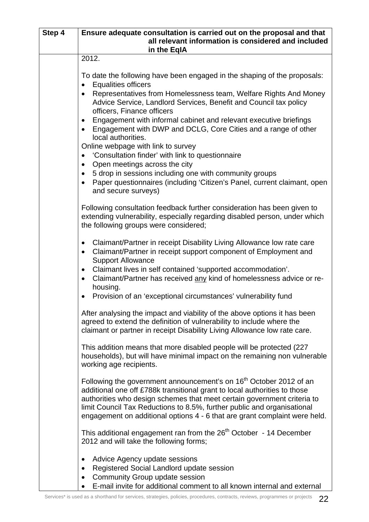| Step 4 | Ensure adequate consultation is carried out on the proposal and that                                                                                                                                                                                                                                                                                                                            |
|--------|-------------------------------------------------------------------------------------------------------------------------------------------------------------------------------------------------------------------------------------------------------------------------------------------------------------------------------------------------------------------------------------------------|
|        | all relevant information is considered and included                                                                                                                                                                                                                                                                                                                                             |
|        | in the EqIA<br>2012.                                                                                                                                                                                                                                                                                                                                                                            |
|        |                                                                                                                                                                                                                                                                                                                                                                                                 |
|        | To date the following have been engaged in the shaping of the proposals:<br><b>Equalities officers</b>                                                                                                                                                                                                                                                                                          |
|        | Representatives from Homelessness team, Welfare Rights And Money<br>Advice Service, Landlord Services, Benefit and Council tax policy<br>officers, Finance officers                                                                                                                                                                                                                             |
|        | Engagement with informal cabinet and relevant executive briefings<br>$\bullet$<br>Engagement with DWP and DCLG, Core Cities and a range of other<br>local authorities.                                                                                                                                                                                                                          |
|        | Online webpage with link to survey<br>'Consultation finder' with link to questionnaire                                                                                                                                                                                                                                                                                                          |
|        | Open meetings across the city<br>$\bullet$                                                                                                                                                                                                                                                                                                                                                      |
|        | 5 drop in sessions including one with community groups                                                                                                                                                                                                                                                                                                                                          |
|        | Paper questionnaires (including 'Citizen's Panel, current claimant, open<br>and secure surveys)                                                                                                                                                                                                                                                                                                 |
|        | Following consultation feedback further consideration has been given to<br>extending vulnerability, especially regarding disabled person, under which<br>the following groups were considered;                                                                                                                                                                                                  |
|        | Claimant/Partner in receipt Disability Living Allowance low rate care<br>$\bullet$<br>Claimant/Partner in receipt support component of Employment and<br>$\bullet$<br><b>Support Allowance</b>                                                                                                                                                                                                  |
|        | Claimant lives in self contained 'supported accommodation'.<br>$\bullet$<br>Claimant/Partner has received any kind of homelessness advice or re-<br>$\bullet$<br>housing.                                                                                                                                                                                                                       |
|        | Provision of an 'exceptional circumstances' vulnerability fund<br>$\bullet$                                                                                                                                                                                                                                                                                                                     |
|        | After analysing the impact and viability of the above options it has been<br>agreed to extend the definition of vulnerability to include where the<br>claimant or partner in receipt Disability Living Allowance low rate care.                                                                                                                                                                 |
|        | This addition means that more disabled people will be protected (227)<br>households), but will have minimal impact on the remaining non vulnerable<br>working age recipients.                                                                                                                                                                                                                   |
|        | Following the government announcement's on 16 <sup>th</sup> October 2012 of an<br>additional one off £788k transitional grant to local authorities to those<br>authorities who design schemes that meet certain government criteria to<br>limit Council Tax Reductions to 8.5%, further public and organisational<br>engagement on additional options 4 - 6 that are grant complaint were held. |
|        | This additional engagement ran from the $26th$ October - 14 December<br>2012 and will take the following forms;                                                                                                                                                                                                                                                                                 |
|        | Advice Agency update sessions<br>٠<br>Registered Social Landlord update session<br>٠<br>Community Group update session<br>$\bullet$<br>E-mail invite for additional comment to all known internal and external                                                                                                                                                                                  |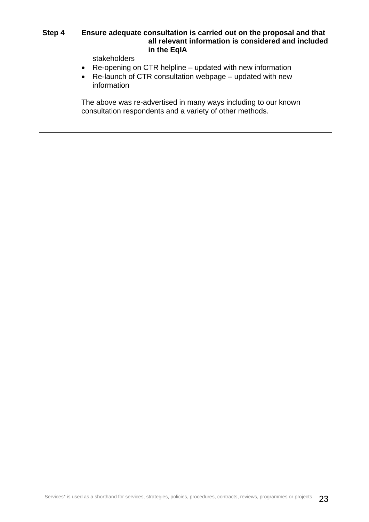| Step 4 | Ensure adequate consultation is carried out on the proposal and that<br>all relevant information is considered and included<br>in the EgIA           |
|--------|------------------------------------------------------------------------------------------------------------------------------------------------------|
|        | stakeholders<br>Re-opening on CTR helpline – updated with new information<br>Re-launch of CTR consultation webpage - updated with new<br>information |
|        | The above was re-advertised in many ways including to our known<br>consultation respondents and a variety of other methods.                          |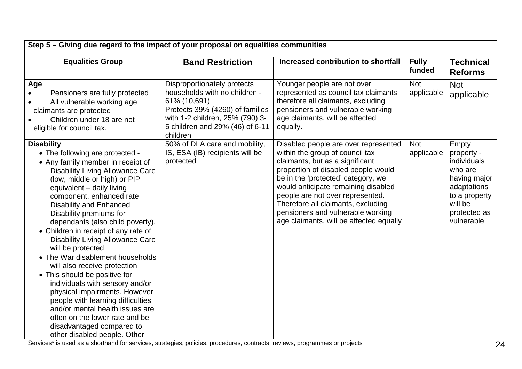| Step 5 – Giving due regard to the impact of your proposal on equalities communities                                                                                                                                                                                                                                                                                                                                                                                                                                                                                                                                                                                                                                                                                                    |                                                                                                                                                                                                   |                                                                                                                                                                                                                                                                                                                                                                                          |                          |                                                                                                                                        |  |
|----------------------------------------------------------------------------------------------------------------------------------------------------------------------------------------------------------------------------------------------------------------------------------------------------------------------------------------------------------------------------------------------------------------------------------------------------------------------------------------------------------------------------------------------------------------------------------------------------------------------------------------------------------------------------------------------------------------------------------------------------------------------------------------|---------------------------------------------------------------------------------------------------------------------------------------------------------------------------------------------------|------------------------------------------------------------------------------------------------------------------------------------------------------------------------------------------------------------------------------------------------------------------------------------------------------------------------------------------------------------------------------------------|--------------------------|----------------------------------------------------------------------------------------------------------------------------------------|--|
| <b>Equalities Group</b>                                                                                                                                                                                                                                                                                                                                                                                                                                                                                                                                                                                                                                                                                                                                                                | <b>Band Restriction</b>                                                                                                                                                                           | Increased contribution to shortfall                                                                                                                                                                                                                                                                                                                                                      | <b>Fully</b><br>funded   | <b>Technical</b><br><b>Reforms</b>                                                                                                     |  |
| Age<br>Pensioners are fully protected<br>All vulnerable working age<br>claimants are protected<br>Children under 18 are not<br>eligible for council tax.                                                                                                                                                                                                                                                                                                                                                                                                                                                                                                                                                                                                                               | Disproportionately protects<br>households with no children -<br>61% (10,691)<br>Protects 39% (4260) of families<br>with 1-2 children, 25% (790) 3-<br>5 children and 29% (46) of 6-11<br>children | Younger people are not over<br>represented as council tax claimants<br>therefore all claimants, excluding<br>pensioners and vulnerable working<br>age claimants, will be affected<br>equally.                                                                                                                                                                                            | <b>Not</b><br>applicable | <b>Not</b><br>applicable                                                                                                               |  |
| <b>Disability</b><br>• The following are protected -<br>• Any family member in receipt of<br><b>Disability Living Allowance Care</b><br>(low, middle or high) or PIP<br>equivalent - daily living<br>component, enhanced rate<br><b>Disability and Enhanced</b><br>Disability premiums for<br>dependants (also child poverty).<br>• Children in receipt of any rate of<br><b>Disability Living Allowance Care</b><br>will be protected<br>• The War disablement households<br>will also receive protection<br>• This should be positive for<br>individuals with sensory and/or<br>physical impairments. However<br>people with learning difficulties<br>and/or mental health issues are<br>often on the lower rate and be<br>disadvantaged compared to<br>other disabled people. Other | 50% of DLA care and mobility,<br>IS, ESA (IB) recipients will be<br>protected                                                                                                                     | Disabled people are over represented<br>within the group of council tax<br>claimants, but as a significant<br>proportion of disabled people would<br>be in the 'protected' category, we<br>would anticipate remaining disabled<br>people are not over represented.<br>Therefore all claimants, excluding<br>pensioners and vulnerable working<br>age claimants, will be affected equally | <b>Not</b><br>applicable | Empty<br>property -<br>individuals<br>who are<br>having major<br>adaptations<br>to a property<br>will be<br>protected as<br>vulnerable |  |

Services\* is used as a shorthand for services, strategies, policies, procedures, contracts, reviews, programmes or projects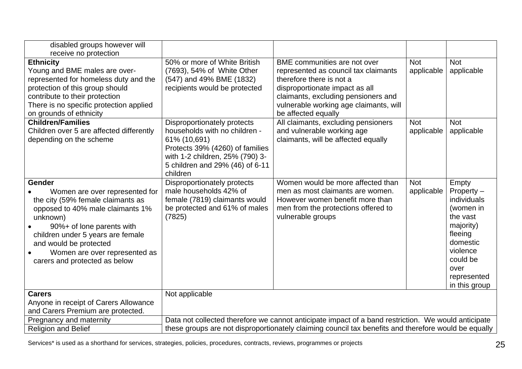| disabled groups however will                                       |                                             |                                                                                                      |            |                       |
|--------------------------------------------------------------------|---------------------------------------------|------------------------------------------------------------------------------------------------------|------------|-----------------------|
| receive no protection<br><b>Ethnicity</b>                          | 50% or more of White British                | BME communities are not over                                                                         | <b>Not</b> | <b>Not</b>            |
| Young and BME males are over-                                      | (7693), 54% of White Other                  | represented as council tax claimants                                                                 | applicable | applicable            |
| represented for homeless duty and the                              | (547) and 49% BME (1832)                    | therefore there is not a                                                                             |            |                       |
| protection of this group should                                    | recipients would be protected               | disproportionate impact as all                                                                       |            |                       |
| contribute to their protection                                     |                                             | claimants, excluding pensioners and                                                                  |            |                       |
| There is no specific protection applied<br>on grounds of ethnicity |                                             | vulnerable working age claimants, will<br>be affected equally                                        |            |                       |
| <b>Children/Families</b>                                           | Disproportionately protects                 | All claimants, excluding pensioners                                                                  | <b>Not</b> | <b>Not</b>            |
| Children over 5 are affected differently                           | households with no children -               | and vulnerable working age                                                                           | applicable | applicable            |
| depending on the scheme                                            | 61% (10,691)                                | claimants, will be affected equally                                                                  |            |                       |
|                                                                    | Protects 39% (4260) of families             |                                                                                                      |            |                       |
|                                                                    | with 1-2 children, 25% (790) 3-             |                                                                                                      |            |                       |
|                                                                    | 5 children and 29% (46) of 6-11<br>children |                                                                                                      |            |                       |
| Gender                                                             | Disproportionately protects                 | Women would be more affected than                                                                    | <b>Not</b> | Empty                 |
| Women are over represented for                                     | male households 42% of                      | men as most claimants are women.                                                                     | applicable | Property $-$          |
| the city (59% female claimants as                                  | female (7819) claimants would               | However women benefit more than                                                                      |            | individuals           |
| opposed to 40% male claimants 1%                                   | be protected and 61% of males               | men from the protections offered to                                                                  |            | (women in             |
| unknown)                                                           | (7825)                                      | vulnerable groups                                                                                    |            | the vast<br>majority) |
| 90%+ of lone parents with<br>children under 5 years are female     |                                             |                                                                                                      |            | fleeing               |
| and would be protected                                             |                                             |                                                                                                      |            | domestic              |
| Women are over represented as                                      |                                             |                                                                                                      |            | violence              |
| carers and protected as below                                      |                                             |                                                                                                      |            | could be              |
|                                                                    |                                             |                                                                                                      |            | over                  |
|                                                                    |                                             |                                                                                                      |            | represented           |
| <b>Carers</b>                                                      | Not applicable                              |                                                                                                      |            | in this group         |
| Anyone in receipt of Carers Allowance                              |                                             |                                                                                                      |            |                       |
| and Carers Premium are protected.                                  |                                             |                                                                                                      |            |                       |
| Pregnancy and maternity                                            |                                             | Data not collected therefore we cannot anticipate impact of a band restriction. We would anticipate  |            |                       |
| <b>Religion and Belief</b>                                         |                                             | these groups are not disproportionately claiming council tax benefits and therefore would be equally |            |                       |

Services\* is used as a shorthand for services, strategies, policies, procedures, contracts, reviews, programmes or projects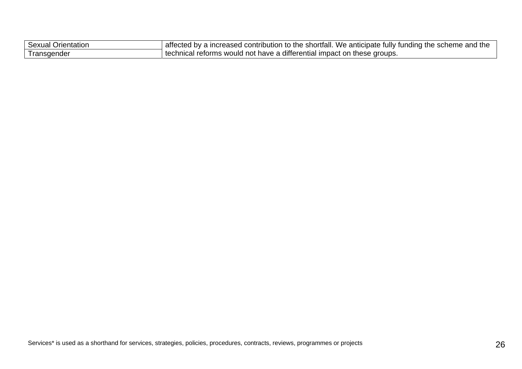| Sexual Orientation       | affected by a increased contribution to the shortfall. We anticipate fully funding the scheme and the |
|--------------------------|-------------------------------------------------------------------------------------------------------|
| <sup>1</sup> Transgender | technical reforms would not have a differential impact on these groups.                               |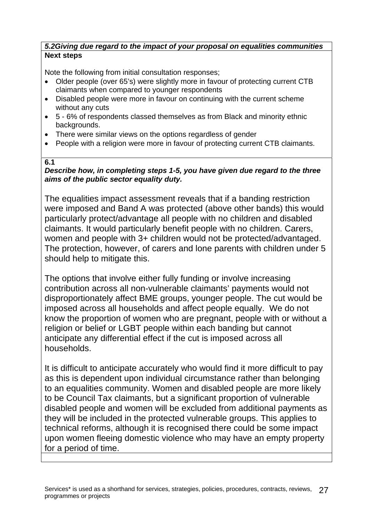## *5.2Giving due regard to the impact of your proposal on equalities communities*  **Next steps**

Note the following from initial consultation responses;

- Older people (over 65's) were slightly more in favour of protecting current CTB claimants when compared to younger respondents
- Disabled people were more in favour on continuing with the current scheme without any cuts
- 5 6% of respondents classed themselves as from Black and minority ethnic backgrounds.
- There were similar views on the options regardless of gender
- People with a religion were more in favour of protecting current CTB claimants.

## **6.1**

### *Describe how, in completing steps 1-5, you have given due regard to the three aims of the public sector equality duty.*

The equalities impact assessment reveals that if a banding restriction were imposed and Band A was protected (above other bands) this would particularly protect/advantage all people with no children and disabled claimants. It would particularly benefit people with no children. Carers, women and people with 3+ children would not be protected/advantaged. The protection, however, of carers and lone parents with children under 5 should help to mitigate this.

The options that involve either fully funding or involve increasing contribution across all non-vulnerable claimants' payments would not disproportionately affect BME groups, younger people. The cut would be imposed across all households and affect people equally. We do not know the proportion of women who are pregnant, people with or without a religion or belief or LGBT people within each banding but cannot anticipate any differential effect if the cut is imposed across all households.

It is difficult to anticipate accurately who would find it more difficult to pay as this is dependent upon individual circumstance rather than belonging to an equalities community. Women and disabled people are more likely to be Council Tax claimants, but a significant proportion of vulnerable disabled people and women will be excluded from additional payments as they will be included in the protected vulnerable groups. This applies to technical reforms, although it is recognised there could be some impact upon women fleeing domestic violence who may have an empty property for a period of time.